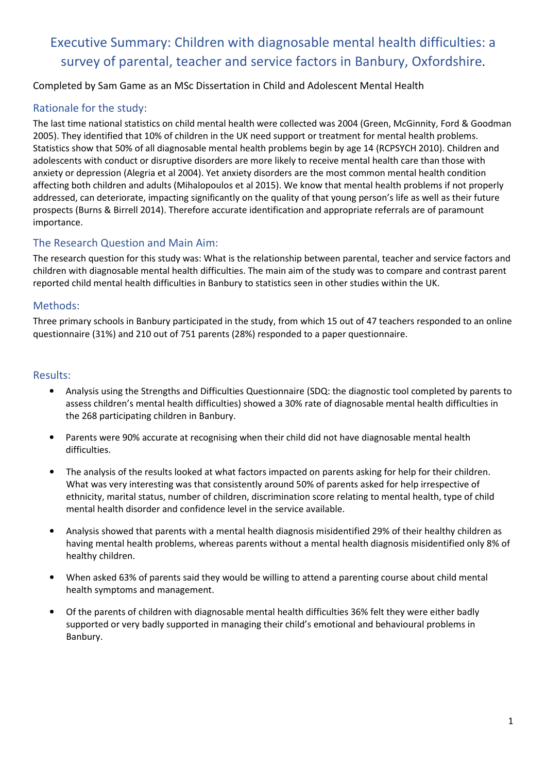# Executive Summary: Children with diagnosable mental health difficulties: a survey of parental, teacher and service factors in Banbury, Oxfordshire.

#### Completed by Sam Game as an MSc Dissertation in Child and Adolescent Mental Health

### Rationale for the study:

The last time national statistics on child mental health were collected was 2004 (Green, McGinnity, Ford & Goodman 2005). They identified that 10% of children in the UK need support or treatment for mental health problems. Statistics show that 50% of all diagnosable mental health problems begin by age 14 (RCPSYCH 2010). Children and adolescents with conduct or disruptive disorders are more likely to receive mental health care than those with anxiety or depression (Alegria et al 2004). Yet anxiety disorders are the most common mental health condition affecting both children and adults (Mihalopoulos et al 2015). We know that mental health problems if not properly addressed, can deteriorate, impacting significantly on the quality of that young person's life as well as their future prospects (Burns & Birrell 2014). Therefore accurate identification and appropriate referrals are of paramount importance.

### The Research Question and Main Aim:

The research question for this study was: What is the relationship between parental, teacher and service factors and children with diagnosable mental health difficulties. The main aim of the study was to compare and contrast parent reported child mental health difficulties in Banbury to statistics seen in other studies within the UK.

### Methods:

Three primary schools in Banbury participated in the study, from which 15 out of 47 teachers responded to an online questionnaire (31%) and 210 out of 751 parents (28%) responded to a paper questionnaire.

#### Results:

- Analysis using the Strengths and Difficulties Questionnaire (SDQ: the diagnostic tool completed by parents to assess children's mental health difficulties) showed a 30% rate of diagnosable mental health difficulties in the 268 participating children in Banbury.
- Parents were 90% accurate at recognising when their child did not have diagnosable mental health difficulties.
- The analysis of the results looked at what factors impacted on parents asking for help for their children. What was very interesting was that consistently around 50% of parents asked for help irrespective of ethnicity, marital status, number of children, discrimination score relating to mental health, type of child mental health disorder and confidence level in the service available.
- Analysis showed that parents with a mental health diagnosis misidentified 29% of their healthy children as having mental health problems, whereas parents without a mental health diagnosis misidentified only 8% of healthy children.
- When asked 63% of parents said they would be willing to attend a parenting course about child mental health symptoms and management.
- Of the parents of children with diagnosable mental health difficulties 36% felt they were either badly supported or very badly supported in managing their child's emotional and behavioural problems in Banbury.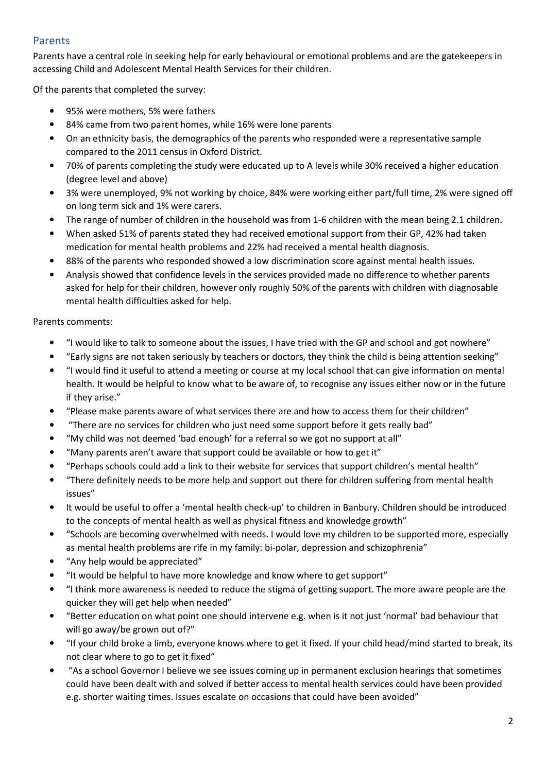### Parents

Parents have a central role in seeking help for early behavioural or emotional problems and are the gatekeepers in accessing Child and Adolescent Mental Health Services for their children.

Of the parents that completed the survey:

- 95% were mothers, 5% were fathers
- 84% came from two parent homes, while 16% were lone parents
- On an ethnicity basis, the demographics of the parents who responded were a representative sample compared to the 2011 census in Oxford District.
- 70% of parents completing the study were educated up to A levels while 30% received a higher education (degree level and above)
- 3% were unemployed, 9% not working by choice, 84% were working either part/full time, 2% were signed off on long term sick and 1% were carers.
- The range of number of children in the household was from 1-6 children with the mean being 2.1 children.
- When asked 51% of parents stated they had received emotional support from their GP, 42% had taken medication for mental health problems and 22% had received a mental health diagnosis.
- 88% of the parents who responded showed a low discrimination score against mental health issues.
- Analysis showed that confidence levels in the services provided made no difference to whether parents asked for help for their children, however only roughly 50% of the parents with children with diagnosable mental health difficulties asked for help.

Parents comments:

- "I would like to talk to someone about the issues, I have tried with the GP and school and got nowhere"
- "Early signs are not taken seriously by teachers or doctors, they think the child is being attention seeking"
- "I would find it useful to attend a meeting or course at my local school that can give information on mental health. It would be helpful to know what to be aware of, to recognise any issues either now or in the future if they arise."
- "Please make parents aware of what services there are and how to access them for their children"
- "There are no services for children who just need some support before it gets really bad"
- "My child was not deemed 'bad enough' for a referral so we got no support at all"
- "Many parents aren't aware that support could be available or how to get it"
- "Perhaps schools could add a link to their website for services that support children's mental health"
- "There definitely needs to be more help and support out there for children suffering from mental health issues"
- It would be useful to offer a 'mental health check-up' to children in Banbury. Children should be introduced to the concepts of mental health as well as physical fitness and knowledge growth"
- "Schools are becoming overwhelmed with needs. I would love my children to be supported more, especially as mental health problems are rife in my family: bi-polar, depression and schizophrenia"
- "Any help would be appreciated"
- "It would be helpful to have more knowledge and know where to get support"
- "I think more awareness is needed to reduce the stigma of getting support. The more aware people are the quicker they will get help when needed"
- "Better education on what point one should intervene e.g. when is it not just 'normal' bad behaviour that will go away/be grown out of?"
- "If your child broke a limb, everyone knows where to get it fixed. If your child head/mind started to break, its not clear where to go to get it fixed"
- "As a school Governor I believe we see issues coming up in permanent exclusion hearings that sometimes could have been dealt with and solved if better access to mental health services could have been provided e.g. shorter waiting times. Issues escalate on occasions that could have been avoided"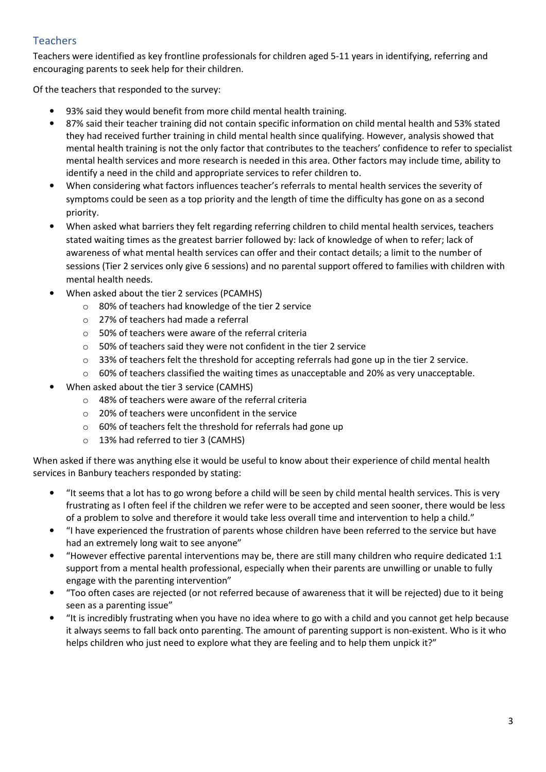## Teachers

Teachers were identified as key frontline professionals for children aged 5-11 years in identifying, referring and encouraging parents to seek help for their children.

Of the teachers that responded to the survey:

- 93% said they would benefit from more child mental health training.
- 87% said their teacher training did not contain specific information on child mental health and 53% stated they had received further training in child mental health since qualifying. However, analysis showed that mental health training is not the only factor that contributes to the teachers' confidence to refer to specialist mental health services and more research is needed in this area. Other factors may include time, ability to identify a need in the child and appropriate services to refer children to.
- When considering what factors influences teacher's referrals to mental health services the severity of symptoms could be seen as a top priority and the length of time the difficulty has gone on as a second priority.
- When asked what barriers they felt regarding referring children to child mental health services, teachers stated waiting times as the greatest barrier followed by: lack of knowledge of when to refer; lack of awareness of what mental health services can offer and their contact details; a limit to the number of sessions (Tier 2 services only give 6 sessions) and no parental support offered to families with children with mental health needs.
- When asked about the tier 2 services (PCAMHS)
	- o 80% of teachers had knowledge of the tier 2 service
	- o 27% of teachers had made a referral
	- $\circ$  50% of teachers were aware of the referral criteria
	- o 50% of teachers said they were not confident in the tier 2 service
	- $\circ$  33% of teachers felt the threshold for accepting referrals had gone up in the tier 2 service.
	- $\circ$  60% of teachers classified the waiting times as unacceptable and 20% as very unacceptable.
- When asked about the tier 3 service (CAMHS)
	- o 48% of teachers were aware of the referral criteria
	- o 20% of teachers were unconfident in the service
	- o 60% of teachers felt the threshold for referrals had gone up
	- o 13% had referred to tier 3 (CAMHS)

When asked if there was anything else it would be useful to know about their experience of child mental health services in Banbury teachers responded by stating:

- "It seems that a lot has to go wrong before a child will be seen by child mental health services. This is very frustrating as I often feel if the children we refer were to be accepted and seen sooner, there would be less of a problem to solve and therefore it would take less overall time and intervention to help a child."
- "I have experienced the frustration of parents whose children have been referred to the service but have had an extremely long wait to see anyone"
- "However effective parental interventions may be, there are still many children who require dedicated 1:1 support from a mental health professional, especially when their parents are unwilling or unable to fully engage with the parenting intervention"
- "Too often cases are rejected (or not referred because of awareness that it will be rejected) due to it being seen as a parenting issue"
- "It is incredibly frustrating when you have no idea where to go with a child and you cannot get help because it always seems to fall back onto parenting. The amount of parenting support is non-existent. Who is it who helps children who just need to explore what they are feeling and to help them unpick it?"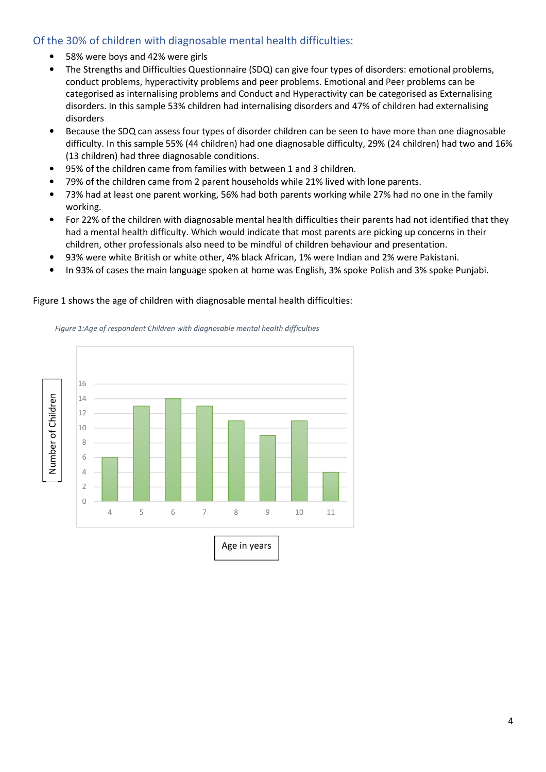### Of the 30% of children with diagnosable mental health difficulties:

- 58% were boys and 42% were girls
- The Strengths and Difficulties Questionnaire (SDQ) can give four types of disorders: emotional problems, conduct problems, hyperactivity problems and peer problems. Emotional and Peer problems can be categorised as internalising problems and Conduct and Hyperactivity can be categorised as Externalising disorders. In this sample 53% children had internalising disorders and 47% of children had externalising disorders
- Because the SDQ can assess four types of disorder children can be seen to have more than one diagnosable difficulty. In this sample 55% (44 children) had one diagnosable difficulty, 29% (24 children) had two and 16% (13 children) had three diagnosable conditions.
- 95% of the children came from families with between 1 and 3 children.
- 79% of the children came from 2 parent households while 21% lived with lone parents.
- 73% had at least one parent working, 56% had both parents working while 27% had no one in the family working.
- For 22% of the children with diagnosable mental health difficulties their parents had not identified that they had a mental health difficulty. Which would indicate that most parents are picking up concerns in their children, other professionals also need to be mindful of children behaviour and presentation.
- 93% were white British or white other, 4% black African, 1% were Indian and 2% were Pakistani.
- In 93% of cases the main language spoken at home was English, 3% spoke Polish and 3% spoke Punjabi.

#### Figure 1 shows the age of children with diagnosable mental health difficulties:



*Figure 1:Age of respondent Children with diagnosable mental health difficulties*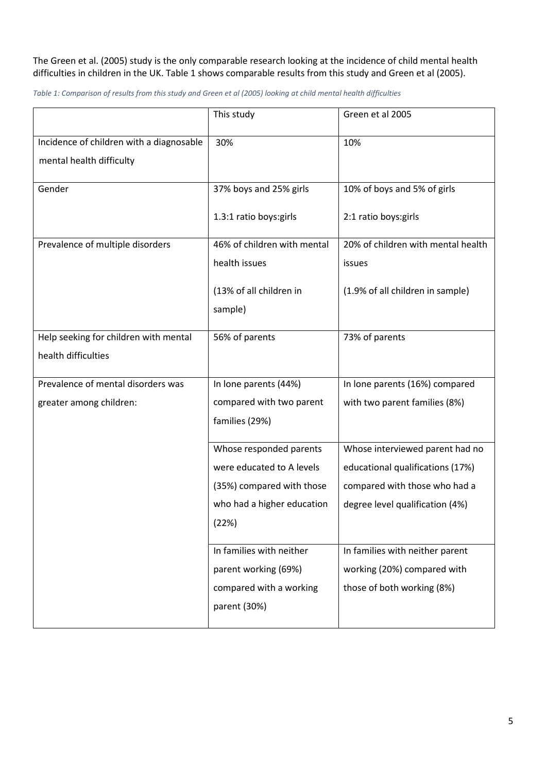#### The Green et al. (2005) study is the only comparable research looking at the incidence of child mental health difficulties in children in the UK. Table 1 shows comparable results from this study and Green et al (2005).

*Table 1: Comparison of results from this study and Green et al (2005) looking at child mental health difficulties* 

|                                                                      | This study                         | Green et al 2005                   |
|----------------------------------------------------------------------|------------------------------------|------------------------------------|
| Incidence of children with a diagnosable<br>mental health difficulty | 30%                                | 10%                                |
| Gender                                                               | 37% boys and 25% girls             | 10% of boys and 5% of girls        |
|                                                                      | 1.3:1 ratio boys:girls             | 2:1 ratio boys: girls              |
| Prevalence of multiple disorders                                     | 46% of children with mental        | 20% of children with mental health |
|                                                                      | health issues                      | issues                             |
|                                                                      | (13% of all children in<br>sample) | (1.9% of all children in sample)   |
| Help seeking for children with mental                                | 56% of parents                     | 73% of parents                     |
| health difficulties                                                  |                                    |                                    |
| Prevalence of mental disorders was                                   | In lone parents (44%)              | In lone parents (16%) compared     |
| greater among children:                                              | compared with two parent           | with two parent families (8%)      |
|                                                                      | families (29%)                     |                                    |
|                                                                      | Whose responded parents            | Whose interviewed parent had no    |
|                                                                      | were educated to A levels          | educational qualifications (17%)   |
|                                                                      | (35%) compared with those          | compared with those who had a      |
|                                                                      | who had a higher education         | degree level qualification (4%)    |
|                                                                      | (22%)                              |                                    |
|                                                                      | In families with neither           | In families with neither parent    |
|                                                                      | parent working (69%)               | working (20%) compared with        |
|                                                                      | compared with a working            | those of both working (8%)         |
|                                                                      | parent (30%)                       |                                    |
|                                                                      |                                    |                                    |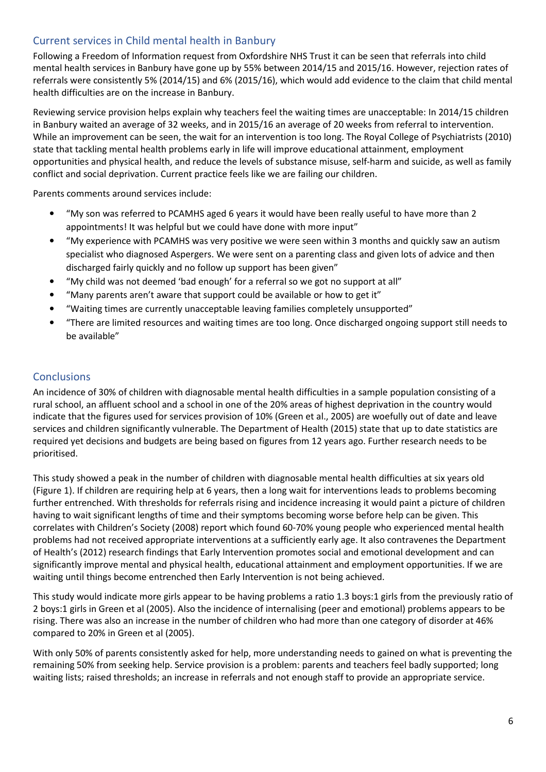### Current services in Child mental health in Banbury

Following a Freedom of Information request from Oxfordshire NHS Trust it can be seen that referrals into child mental health services in Banbury have gone up by 55% between 2014/15 and 2015/16. However, rejection rates of referrals were consistently 5% (2014/15) and 6% (2015/16), which would add evidence to the claim that child mental health difficulties are on the increase in Banbury.

Reviewing service provision helps explain why teachers feel the waiting times are unacceptable: In 2014/15 children in Banbury waited an average of 32 weeks, and in 2015/16 an average of 20 weeks from referral to intervention. While an improvement can be seen, the wait for an intervention is too long. The Royal College of Psychiatrists (2010) state that tackling mental health problems early in life will improve educational attainment, employment opportunities and physical health, and reduce the levels of substance misuse, self-harm and suicide, as well as family conflict and social deprivation. Current practice feels like we are failing our children.

Parents comments around services include:

- "My son was referred to PCAMHS aged 6 years it would have been really useful to have more than 2 appointments! It was helpful but we could have done with more input"
- "My experience with PCAMHS was very positive we were seen within 3 months and quickly saw an autism specialist who diagnosed Aspergers. We were sent on a parenting class and given lots of advice and then discharged fairly quickly and no follow up support has been given"
- "My child was not deemed 'bad enough' for a referral so we got no support at all"
- "Many parents aren't aware that support could be available or how to get it"
- "Waiting times are currently unacceptable leaving families completely unsupported"
- "There are limited resources and waiting times are too long. Once discharged ongoing support still needs to be available"

### **Conclusions**

An incidence of 30% of children with diagnosable mental health difficulties in a sample population consisting of a rural school, an affluent school and a school in one of the 20% areas of highest deprivation in the country would indicate that the figures used for services provision of 10% (Green et al., 2005) are woefully out of date and leave services and children significantly vulnerable. The Department of Health (2015) state that up to date statistics are required yet decisions and budgets are being based on figures from 12 years ago. Further research needs to be prioritised.

This study showed a peak in the number of children with diagnosable mental health difficulties at six years old (Figure 1). If children are requiring help at 6 years, then a long wait for interventions leads to problems becoming further entrenched. With thresholds for referrals rising and incidence increasing it would paint a picture of children having to wait significant lengths of time and their symptoms becoming worse before help can be given. This correlates with Children's Society (2008) report which found 60-70% young people who experienced mental health problems had not received appropriate interventions at a sufficiently early age. It also contravenes the Department of Health's (2012) research findings that Early Intervention promotes social and emotional development and can significantly improve mental and physical health, educational attainment and employment opportunities. If we are waiting until things become entrenched then Early Intervention is not being achieved.

This study would indicate more girls appear to be having problems a ratio 1.3 boys:1 girls from the previously ratio of 2 boys:1 girls in Green et al (2005). Also the incidence of internalising (peer and emotional) problems appears to be rising. There was also an increase in the number of children who had more than one category of disorder at 46% compared to 20% in Green et al (2005).

With only 50% of parents consistently asked for help, more understanding needs to gained on what is preventing the remaining 50% from seeking help. Service provision is a problem: parents and teachers feel badly supported; long waiting lists; raised thresholds; an increase in referrals and not enough staff to provide an appropriate service.